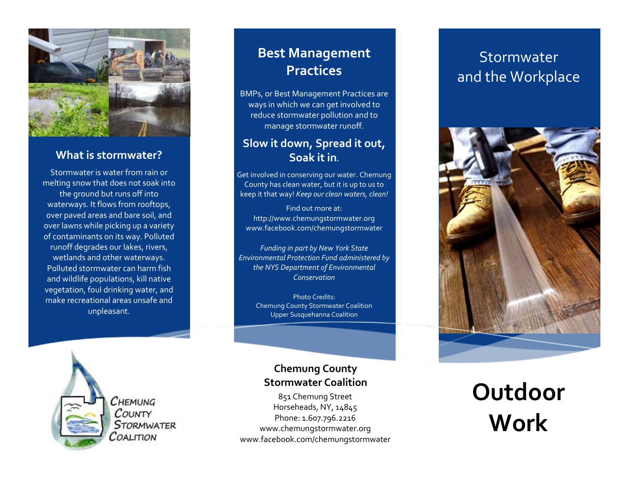

#### **What is stormwater?**

Stormwater is water from rain or melting snow that does not soak into the ground but runs off into waterways. It flows from rooftops, over paved areas and bare soil, and over lawns while picking up a variety of contaminants on its way. Polluted runoff degrades our lakes, rivers, wetlands and other waterways. Polluted stormwater can harm fish and wildlife populations, kill native vegetation, foul drinking water, and make recreational areas unsafe and unpleasant.

### **Best Management Practices**

BMPs, or Best Management Practices are ways in which we can get involved to reduce stormwater pollution and to manage stormwater runoff.

#### **Slow it down, Spread it out, Soak it in.**

Get involved in conserving our water. Chemung County has clean water, but it is up to us to keep it that way! *Keep our clean waters, clean!*

Find out more at: http://www.chemungstormwater.org www.facebook.com/chemungstormwater

*Funding in part by New York State Environmental Protection Fund administered by the NYS Department of Environmental Conservation*

Photo Credits: Chemung County Stormwater Coalition Upper Susquehanna Coalition

 $C$ HEMUNG COUNTY **STORMWATER** COALITION

#### **Chemung County Stormwater Coalition**

851 Chemung Street Horseheads, NY, 14845 Phone: 1.607.796.2216 www.chemungstormwater.org www.facebook.com/chemungstormwater

## Stormwater and the Workplace



**Outdoor Work**